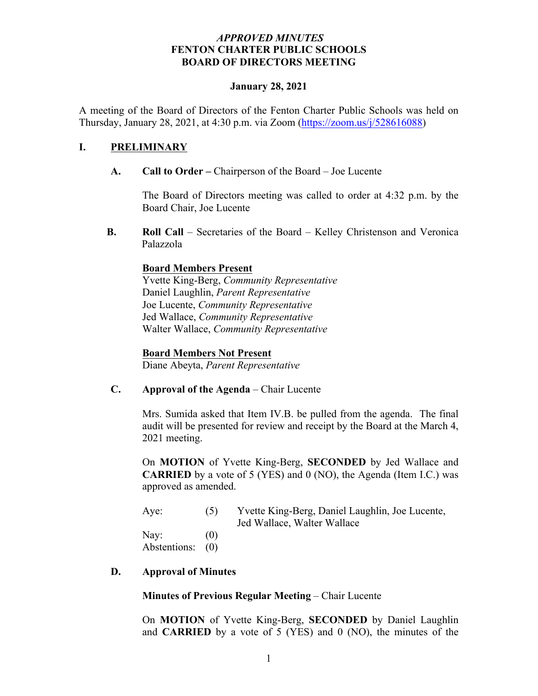#### *APPROVED MINUTES* **FENTON CHARTER PUBLIC SCHOOLS BOARD OF DIRECTORS MEETING**

#### **January 28, 2021**

A meeting of the Board of Directors of the Fenton Charter Public Schools was held on Thursday, January 28, 2021, at 4:30 p.m. via Zoom (https://zoom.us/j/528616088)

#### **I. PRELIMINARY**

**A. Call to Order –** Chairperson of the Board – Joe Lucente

The Board of Directors meeting was called to order at 4:32 p.m. by the Board Chair, Joe Lucente

**B. Roll Call** – Secretaries of the Board – Kelley Christenson and Veronica Palazzola

### **Board Members Present**

Yvette King-Berg, *Community Representative* Daniel Laughlin, *Parent Representative* Joe Lucente, *Community Representative* Jed Wallace, *Community Representative* Walter Wallace, *Community Representative* 

#### **Board Members Not Present**

Diane Abeyta, *Parent Representative*

#### **C. Approval of the Agenda** – Chair Lucente

Mrs. Sumida asked that Item IV.B. be pulled from the agenda. The final audit will be presented for review and receipt by the Board at the March 4, 2021 meeting.

On **MOTION** of Yvette King-Berg, **SECONDED** by Jed Wallace and **CARRIED** by a vote of 5 (YES) and 0 (NO), the Agenda (Item I.C.) was approved as amended.

| Aye:             | (5) | Yvette King-Berg, Daniel Laughlin, Joe Lucente, |
|------------------|-----|-------------------------------------------------|
|                  |     | Jed Wallace, Walter Wallace                     |
| Nay:             | (0) |                                                 |
| Abstentions: (0) |     |                                                 |

#### **D. Approval of Minutes**

**Minutes of Previous Regular Meeting** – Chair Lucente

On **MOTION** of Yvette King-Berg, **SECONDED** by Daniel Laughlin and **CARRIED** by a vote of 5 (YES) and 0 (NO), the minutes of the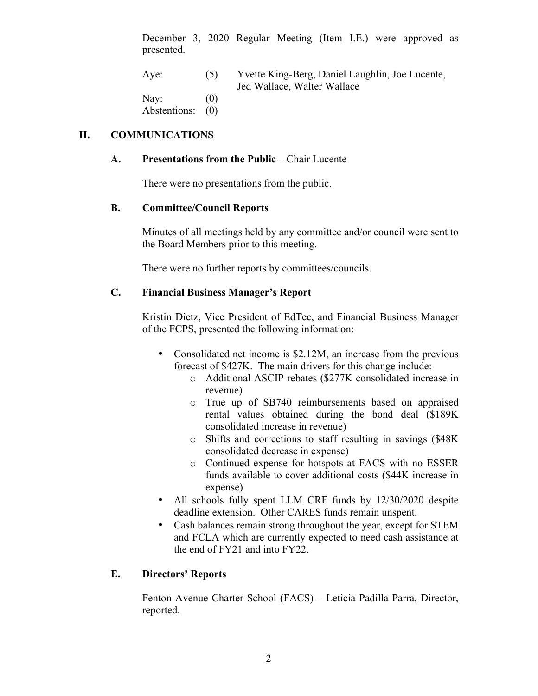December 3, 2020 Regular Meeting (Item I.E.) were approved as presented.

| Aye:         | (5) | Yvette King-Berg, Daniel Laughlin, Joe Lucente, |
|--------------|-----|-------------------------------------------------|
|              |     | Jed Wallace, Walter Wallace                     |
| Nay:         | (0) |                                                 |
| Abstentions: |     |                                                 |

### **II. COMMUNICATIONS**

#### **A. Presentations from the Public** – Chair Lucente

There were no presentations from the public.

#### **B. Committee/Council Reports**

Minutes of all meetings held by any committee and/or council were sent to the Board Members prior to this meeting.

There were no further reports by committees/councils.

## **C. Financial Business Manager's Report**

Kristin Dietz, Vice President of EdTec, and Financial Business Manager of the FCPS, presented the following information:

- Consolidated net income is \$2.12M, an increase from the previous forecast of \$427K. The main drivers for this change include:
	- o Additional ASCIP rebates (\$277K consolidated increase in revenue)
	- o True up of SB740 reimbursements based on appraised rental values obtained during the bond deal (\$189K consolidated increase in revenue)
	- o Shifts and corrections to staff resulting in savings (\$48K consolidated decrease in expense)
	- o Continued expense for hotspots at FACS with no ESSER funds available to cover additional costs (\$44K increase in expense)
- All schools fully spent LLM CRF funds by 12/30/2020 despite deadline extension. Other CARES funds remain unspent.
- Cash balances remain strong throughout the year, except for STEM and FCLA which are currently expected to need cash assistance at the end of FY21 and into FY22.

#### **E. Directors' Reports**

Fenton Avenue Charter School (FACS) – Leticia Padilla Parra, Director, reported.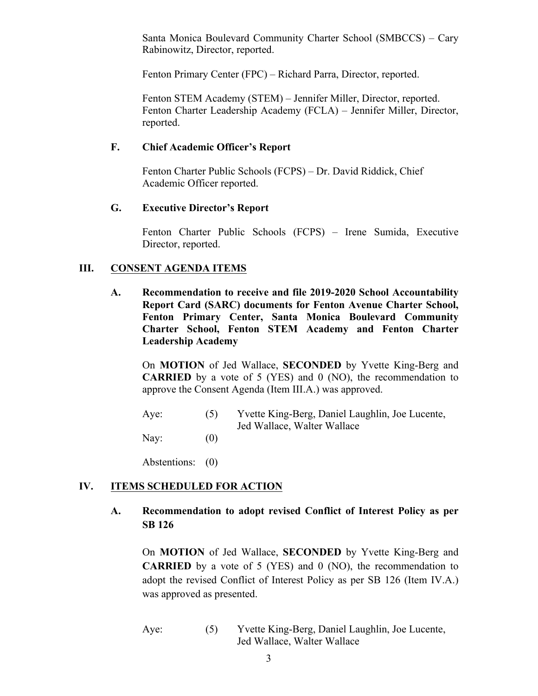Santa Monica Boulevard Community Charter School (SMBCCS) – Cary Rabinowitz, Director, reported.

Fenton Primary Center (FPC) – Richard Parra, Director, reported.

Fenton STEM Academy (STEM) – Jennifer Miller, Director, reported. Fenton Charter Leadership Academy (FCLA) – Jennifer Miller, Director, reported.

#### **F. Chief Academic Officer's Report**

Fenton Charter Public Schools (FCPS) – Dr. David Riddick, Chief Academic Officer reported.

#### **G. Executive Director's Report**

Fenton Charter Public Schools (FCPS) – Irene Sumida, Executive Director, reported.

### **III. CONSENT AGENDA ITEMS**

**A. Recommendation to receive and file 2019-2020 School Accountability Report Card (SARC) documents for Fenton Avenue Charter School, Fenton Primary Center, Santa Monica Boulevard Community Charter School, Fenton STEM Academy and Fenton Charter Leadership Academy**

On **MOTION** of Jed Wallace, **SECONDED** by Yvette King-Berg and **CARRIED** by a vote of 5 (YES) and 0 (NO), the recommendation to approve the Consent Agenda (Item III.A.) was approved.

Aye: (5) Yvette King-Berg, Daniel Laughlin, Joe Lucente, Jed Wallace, Walter Wallace Nay:  $(0)$ 

Abstentions: (0)

## **IV. ITEMS SCHEDULED FOR ACTION**

**A. Recommendation to adopt revised Conflict of Interest Policy as per SB 126**

On **MOTION** of Jed Wallace, **SECONDED** by Yvette King-Berg and **CARRIED** by a vote of 5 (YES) and 0 (NO), the recommendation to adopt the revised Conflict of Interest Policy as per SB 126 (Item IV.A.) was approved as presented.

Aye: (5) Yvette King-Berg, Daniel Laughlin, Joe Lucente, Jed Wallace, Walter Wallace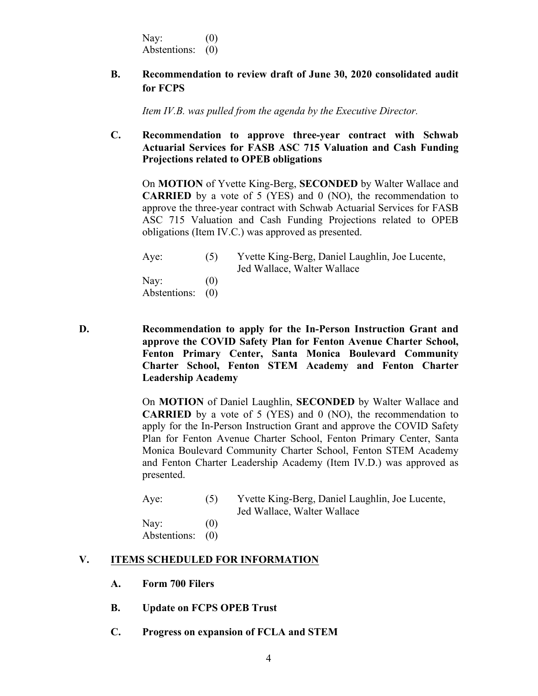Nay:  $(0)$ Abstentions: (0)

## **B. Recommendation to review draft of June 30, 2020 consolidated audit for FCPS**

*Item IV.B. was pulled from the agenda by the Executive Director.*

## **C. Recommendation to approve three-year contract with Schwab Actuarial Services for FASB ASC 715 Valuation and Cash Funding Projections related to OPEB obligations**

On **MOTION** of Yvette King-Berg, **SECONDED** by Walter Wallace and **CARRIED** by a vote of 5 (YES) and 0 (NO), the recommendation to approve the three-year contract with Schwab Actuarial Services for FASB ASC 715 Valuation and Cash Funding Projections related to OPEB obligations (Item IV.C.) was approved as presented.

| Aye:             | (5)               | Yvette King-Berg, Daniel Laughlin, Joe Lucente, |
|------------------|-------------------|-------------------------------------------------|
|                  |                   | Jed Wallace, Walter Wallace                     |
| Nay:             | $\left( 0\right)$ |                                                 |
| Abstentions: (0) |                   |                                                 |

**D. Recommendation to apply for the In-Person Instruction Grant and approve the COVID Safety Plan for Fenton Avenue Charter School, Fenton Primary Center, Santa Monica Boulevard Community Charter School, Fenton STEM Academy and Fenton Charter Leadership Academy**

> On **MOTION** of Daniel Laughlin, **SECONDED** by Walter Wallace and **CARRIED** by a vote of 5 (YES) and 0 (NO), the recommendation to apply for the In-Person Instruction Grant and approve the COVID Safety Plan for Fenton Avenue Charter School, Fenton Primary Center, Santa Monica Boulevard Community Charter School, Fenton STEM Academy and Fenton Charter Leadership Academy (Item IV.D.) was approved as presented.

| Aye: |     | Yvette King-Berg, Daniel Laughlin, Joe Lucente, |
|------|-----|-------------------------------------------------|
|      |     | Jed Wallace, Walter Wallace                     |
| Nav' | 70) |                                                 |

Nay:  $(0)$ Abstentions: (0)

#### **V. ITEMS SCHEDULED FOR INFORMATION**

- **A. Form 700 Filers**
- **B. Update on FCPS OPEB Trust**
- **C. Progress on expansion of FCLA and STEM**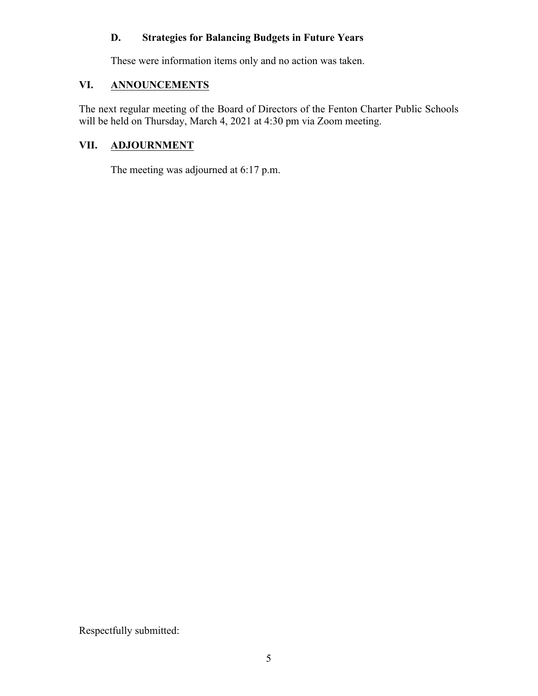# **D. Strategies for Balancing Budgets in Future Years**

These were information items only and no action was taken.

# **VI. ANNOUNCEMENTS**

The next regular meeting of the Board of Directors of the Fenton Charter Public Schools will be held on Thursday, March 4, 2021 at 4:30 pm via Zoom meeting.

## **VII. ADJOURNMENT**

The meeting was adjourned at 6:17 p.m.

Respectfully submitted: